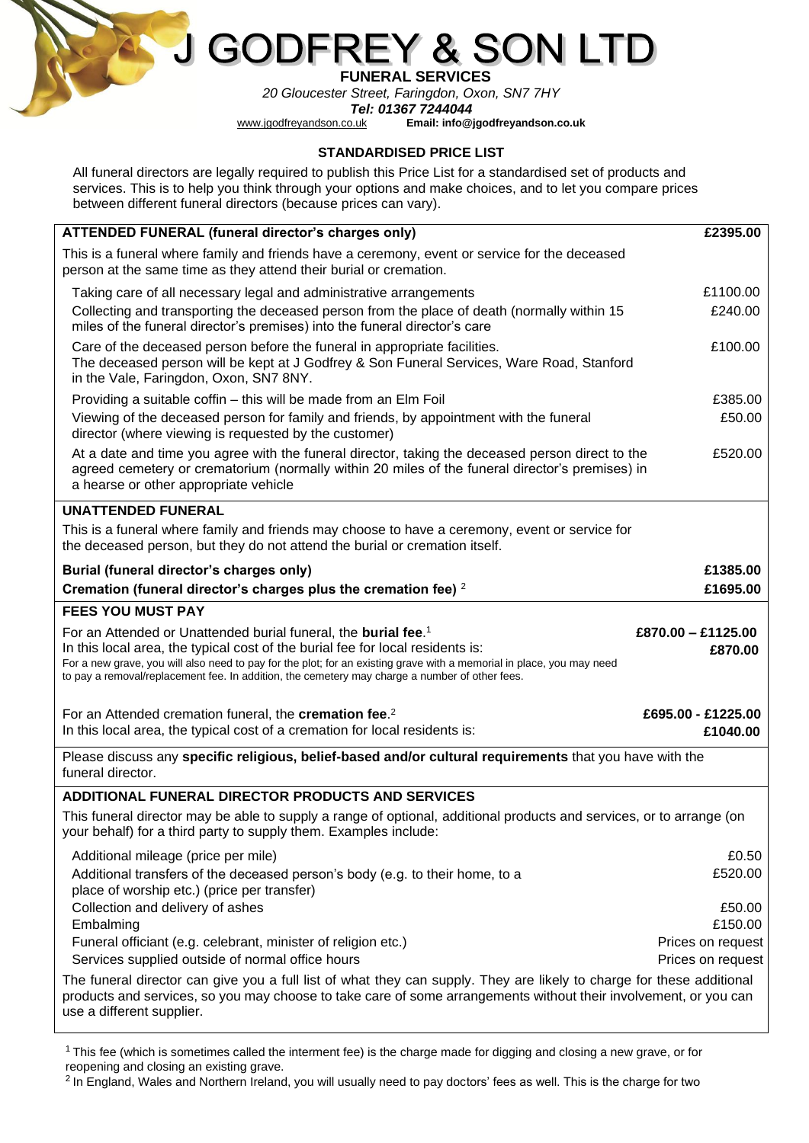

## G( Y & SON DFF

 **FUNERAL SERVICES**

*20 Gloucester Street, Faringdon, Oxon, SN7 7HY*

**Tel: 01367 7244044**<br>*www.jgodfreyandson.co.uk* Email: info@j [www.jgodfreyandson.co.uk](http://www.jgodfreyandson.co.uk/) **Email: info@jgodfreyandson.co.uk**

## **STANDARDISED PRICE LIST**

All funeral directors are legally required to publish this Price List for a standardised set of products and services. This is to help you think through your options and make choices, and to let you compare prices between different funeral directors (because prices can vary).

| ATTENDED FUNERAL (funeral director's charges only)                                                                                                                                                                                                                                                                                                                                      | £2395.00                        |
|-----------------------------------------------------------------------------------------------------------------------------------------------------------------------------------------------------------------------------------------------------------------------------------------------------------------------------------------------------------------------------------------|---------------------------------|
| This is a funeral where family and friends have a ceremony, event or service for the deceased<br>person at the same time as they attend their burial or cremation.                                                                                                                                                                                                                      |                                 |
| Taking care of all necessary legal and administrative arrangements                                                                                                                                                                                                                                                                                                                      | £1100.00                        |
| Collecting and transporting the deceased person from the place of death (normally within 15<br>miles of the funeral director's premises) into the funeral director's care                                                                                                                                                                                                               | £240.00                         |
| Care of the deceased person before the funeral in appropriate facilities.<br>The deceased person will be kept at J Godfrey & Son Funeral Services, Ware Road, Stanford<br>in the Vale, Faringdon, Oxon, SN7 8NY.                                                                                                                                                                        | £100.00                         |
| Providing a suitable coffin - this will be made from an Elm Foil                                                                                                                                                                                                                                                                                                                        | £385.00                         |
| Viewing of the deceased person for family and friends, by appointment with the funeral<br>director (where viewing is requested by the customer)                                                                                                                                                                                                                                         | £50.00                          |
| At a date and time you agree with the funeral director, taking the deceased person direct to the<br>agreed cemetery or crematorium (normally within 20 miles of the funeral director's premises) in<br>a hearse or other appropriate vehicle                                                                                                                                            | £520.00                         |
| <b>UNATTENDED FUNERAL</b>                                                                                                                                                                                                                                                                                                                                                               |                                 |
| This is a funeral where family and friends may choose to have a ceremony, event or service for<br>the deceased person, but they do not attend the burial or cremation itself.                                                                                                                                                                                                           |                                 |
| Burial (funeral director's charges only)                                                                                                                                                                                                                                                                                                                                                | £1385.00                        |
| Cremation (funeral director's charges plus the cremation fee) 2                                                                                                                                                                                                                                                                                                                         | £1695.00                        |
| <b>FEES YOU MUST PAY</b>                                                                                                                                                                                                                                                                                                                                                                |                                 |
| For an Attended or Unattended burial funeral, the burial fee. <sup>1</sup><br>In this local area, the typical cost of the burial fee for local residents is:<br>For a new grave, you will also need to pay for the plot; for an existing grave with a memorial in place, you may need<br>to pay a removal/replacement fee. In addition, the cemetery may charge a number of other fees. | $£870.00 - £1125.00$<br>£870.00 |
| For an Attended cremation funeral, the cremation fee. <sup>2</sup><br>In this local area, the typical cost of a cremation for local residents is:                                                                                                                                                                                                                                       | £695.00 - £1225.00<br>£1040.00  |
| Please discuss any specific religious, belief-based and/or cultural requirements that you have with the<br>funeral director.                                                                                                                                                                                                                                                            |                                 |
| ADDITIONAL FUNERAL DIRECTOR PRODUCTS AND SERVICES                                                                                                                                                                                                                                                                                                                                       |                                 |
| This funeral director may be able to supply a range of optional, additional products and services, or to arrange (on<br>your behalf) for a third party to supply them. Examples include:                                                                                                                                                                                                |                                 |
| Additional mileage (price per mile)                                                                                                                                                                                                                                                                                                                                                     | £0.50                           |
| Additional transfers of the deceased person's body (e.g. to their home, to a<br>place of worship etc.) (price per transfer)                                                                                                                                                                                                                                                             | £520.00                         |
| Collection and delivery of ashes                                                                                                                                                                                                                                                                                                                                                        | £50.00                          |
| Embalming<br>Funeral officiant (e.g. celebrant, minister of religion etc.)                                                                                                                                                                                                                                                                                                              | £150.00<br>Prices on request    |
| Services supplied outside of normal office hours                                                                                                                                                                                                                                                                                                                                        | Prices on request               |
| The funeral director can give you a full list of what they can supply. They are likely to charge for these additional                                                                                                                                                                                                                                                                   |                                 |

<sup>1</sup>This fee (which is sometimes called the interment fee) is the charge made for digging and closing a new grave, or for reopening and closing an existing grave.

<sup>2</sup> In England, Wales and Northern Ireland, you will usually need to pay doctors' fees as well. This is the charge for two